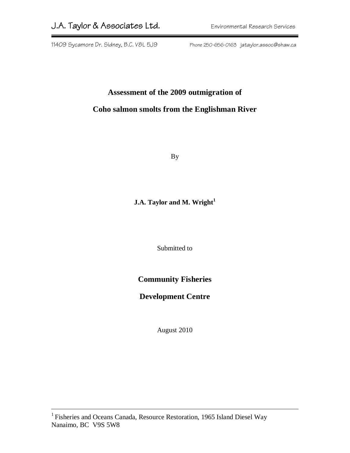11409 Sycamore Dr. Sidney, B.C. V8L 5J9 Phone 250-656-0163 jataylor.assoc@shaw.ca

# **Assessment of the 2009 outmigration of Coho salmon smolts from the Englishman River**

By

### **J.A. Taylor and M. Wright<sup>1</sup>**

Submitted to

### **Community Fisheries**

### **Development Centre**

August 2010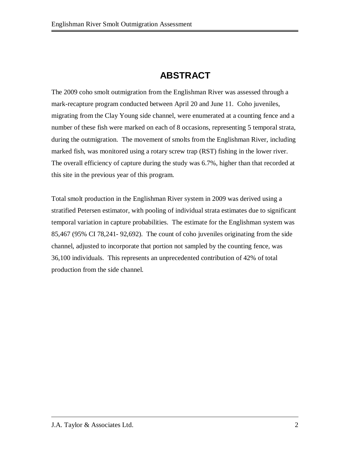## **ABSTRACT**

The 2009 coho smolt outmigration from the Englishman River was assessed through a mark-recapture program conducted between April 20 and June 11. Coho juveniles, migrating from the Clay Young side channel, were enumerated at a counting fence and a number of these fish were marked on each of 8 occasions, representing 5 temporal strata, during the outmigration. The movement of smolts from the Englishman River, including marked fish, was monitored using a rotary screw trap (RST) fishing in the lower river. The overall efficiency of capture during the study was 6.7%, higher than that recorded at this site in the previous year of this program.

Total smolt production in the Englishman River system in 2009 was derived using a stratified Petersen estimator, with pooling of individual strata estimates due to significant temporal variation in capture probabilities. The estimate for the Englishman system was 85,467 (95% CI 78,241- 92,692). The count of coho juveniles originating from the side channel, adjusted to incorporate that portion not sampled by the counting fence, was 36,100 individuals. This represents an unprecedented contribution of 42% of total production from the side channel.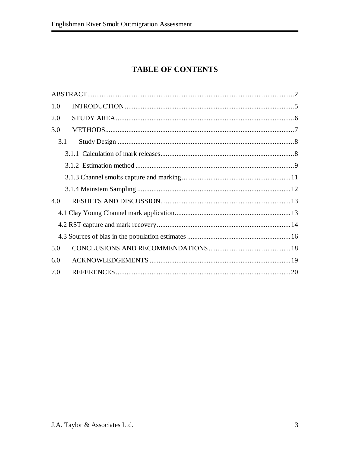## **TABLE OF CONTENTS**

| 1.0 |  |
|-----|--|
| 2.0 |  |
| 3.0 |  |
| 3.1 |  |
|     |  |
|     |  |
|     |  |
|     |  |
| 4.0 |  |
|     |  |
|     |  |
|     |  |
| 5.0 |  |
| 6.0 |  |
| 7.0 |  |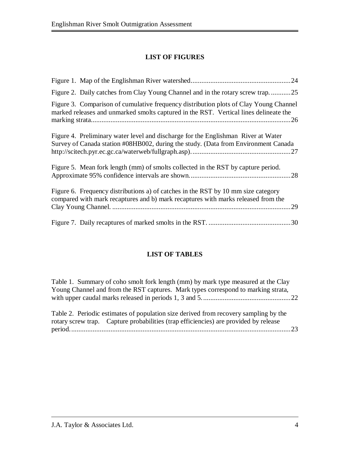### **LIST OF FIGURES**

| Figure 2. Daily catches from Clay Young Channel and in the rotary screw trap25                                                                                                 |
|--------------------------------------------------------------------------------------------------------------------------------------------------------------------------------|
| Figure 3. Comparison of cumulative frequency distribution plots of Clay Young Channel<br>marked releases and unmarked smolts captured in the RST. Vertical lines delineate the |
| Figure 4. Preliminary water level and discharge for the Englishman River at Water<br>Survey of Canada station #08HB002, during the study. (Data from Environment Canada        |
| Figure 5. Mean fork length (mm) of smolts collected in the RST by capture period.                                                                                              |
| Figure 6. Frequency distributions a) of catches in the RST by 10 mm size category<br>compared with mark recaptures and b) mark recaptures with marks released from the         |
|                                                                                                                                                                                |

### **LIST OF TABLES**

Table 1. Summary of coho smolt fork length (mm) by mark type measured at the Clay Young Channel and from the RST captures. Mark types correspond to marking strata, with upper caudal marks released in periods 1, 3 and 5..................................................22

Table 2. Periodic estimates of population size derived from recovery sampling by the rotary screw trap. Capture probabilities (trap efficiencies) are provided by release period............................................................................................................................23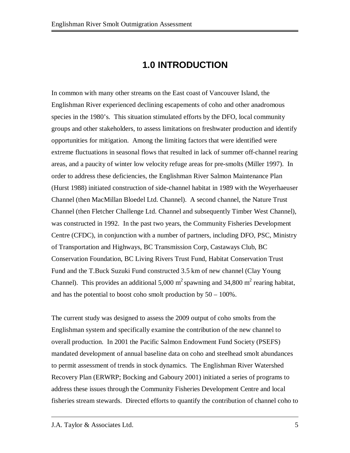## **1.0 INTRODUCTION**

In common with many other streams on the East coast of Vancouver Island, the Englishman River experienced declining escapements of coho and other anadromous species in the 1980's. This situation stimulated efforts by the DFO, local community groups and other stakeholders, to assess limitations on freshwater production and identify opportunities for mitigation. Among the limiting factors that were identified were extreme fluctuations in seasonal flows that resulted in lack of summer off-channel rearing areas, and a paucity of winter low velocity refuge areas for pre-smolts (Miller 1997). In order to address these deficiencies, the Englishman River Salmon Maintenance Plan (Hurst 1988) initiated construction of side-channel habitat in 1989 with the Weyerhaeuser Channel (then MacMillan Bloedel Ltd. Channel). A second channel, the Nature Trust Channel (then Fletcher Challenge Ltd. Channel and subsequently Timber West Channel), was constructed in 1992. In the past two years, the Community Fisheries Development Centre (CFDC), in conjunction with a number of partners, including DFO, PSC, Ministry of Transportation and Highways, BC Transmission Corp, Castaways Club, BC Conservation Foundation, BC Living Rivers Trust Fund, Habitat Conservation Trust Fund and the T.Buck Suzuki Fund constructed 3.5 km of new channel (Clay Young Channel). This provides an additional 5,000 m<sup>2</sup> spawning and 34,800 m<sup>2</sup> rearing habitat, and has the potential to boost coho smolt production by 50 – 100%.

The current study was designed to assess the 2009 output of coho smolts from the Englishman system and specifically examine the contribution of the new channel to overall production. In 2001 the Pacific Salmon Endowment Fund Society (PSEFS) mandated development of annual baseline data on coho and steelhead smolt abundances to permit assessment of trends in stock dynamics. The Englishman River Watershed Recovery Plan (ERWRP; Bocking and Gaboury 2001) initiated a series of programs to address these issues through the Community Fisheries Development Centre and local fisheries stream stewards. Directed efforts to quantify the contribution of channel coho to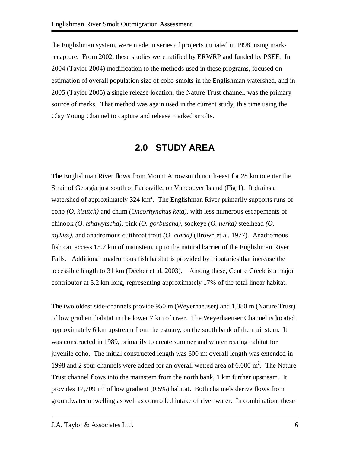the Englishman system, were made in series of projects initiated in 1998, using markrecapture. From 2002, these studies were ratified by ERWRP and funded by PSEF. In 2004 (Taylor 2004) modification to the methods used in these programs, focused on estimation of overall population size of coho smolts in the Englishman watershed, and in 2005 (Taylor 2005) a single release location, the Nature Trust channel, was the primary source of marks. That method was again used in the current study, this time using the Clay Young Channel to capture and release marked smolts.

## **2.0 STUDY AREA**

The Englishman River flows from Mount Arrowsmith north-east for 28 km to enter the Strait of Georgia just south of Parksville, on Vancouver Island (Fig 1). It drains a watershed of approximately 324 km<sup>2</sup>. The Englishman River primarily supports runs of coho *(O. kisutch)* and chum *(Oncorhynchus keta)*, with less numerous escapements of chinook *(O. tshawytscha)*, pink *(O. gorbuscha)*, sockeye *(O. nerka)* steelhead *(O. mykiss)*, and anadromous cutthroat trout *(O. clarki)* (Brown et al. 1977). Anadromous fish can access 15.7 km of mainstem, up to the natural barrier of the Englishman River Falls. Additional anadromous fish habitat is provided by tributaries that increase the accessible length to 31 km (Decker et al. 2003). Among these, Centre Creek is a major contributor at 5.2 km long, representing approximately 17% of the total linear habitat.

The two oldest side-channels provide 950 m (Weyerhaeuser) and 1,380 m (Nature Trust) of low gradient habitat in the lower 7 km of river. The Weyerhaeuser Channel is located approximately 6 km upstream from the estuary, on the south bank of the mainstem. It was constructed in 1989, primarily to create summer and winter rearing habitat for juvenile coho. The initial constructed length was 600 m: overall length was extended in 1998 and 2 spur channels were added for an overall wetted area of  $6,000 \text{ m}^2$ . The Nature Trust channel flows into the mainstem from the north bank, 1 km further upstream. It provides 17,709  $m^2$  of low gradient (0.5%) habitat. Both channels derive flows from groundwater upwelling as well as controlled intake of river water. In combination, these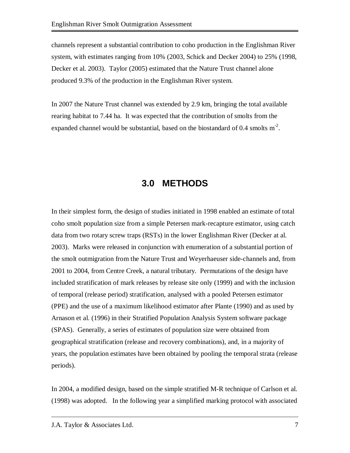channels represent a substantial contribution to coho production in the Englishman River system, with estimates ranging from 10% (2003, Schick and Decker 2004) to 25% (1998, Decker et al. 2003). Taylor (2005) estimated that the Nature Trust channel alone produced 9.3% of the production in the Englishman River system.

In 2007 the Nature Trust channel was extended by 2.9 km, bringing the total available rearing habitat to 7.44 ha. It was expected that the contribution of smolts from the expanded channel would be substantial, based on the biostandard of 0.4 smolts  $m^2$ .

### **3.0 METHODS**

In their simplest form, the design of studies initiated in 1998 enabled an estimate of total coho smolt population size from a simple Petersen mark-recapture estimator, using catch data from two rotary screw traps (RSTs) in the lower Englishman River (Decker at al. 2003). Marks were released in conjunction with enumeration of a substantial portion of the smolt outmigration from the Nature Trust and Weyerhaeuser side-channels and, from 2001 to 2004, from Centre Creek, a natural tributary. Permutations of the design have included stratification of mark releases by release site only (1999) and with the inclusion of temporal (release period) stratification, analysed with a pooled Petersen estimator (PPE) and the use of a maximum likelihood estimator after Plante (1990) and as used by Arnason et al. (1996) in their Stratified Population Analysis System software package (SPAS). Generally, a series of estimates of population size were obtained from geographical stratification (release and recovery combinations), and, in a majority of years, the population estimates have been obtained by pooling the temporal strata (release periods).

In 2004, a modified design, based on the simple stratified M-R technique of Carlson et al. (1998) was adopted. In the following year a simplified marking protocol with associated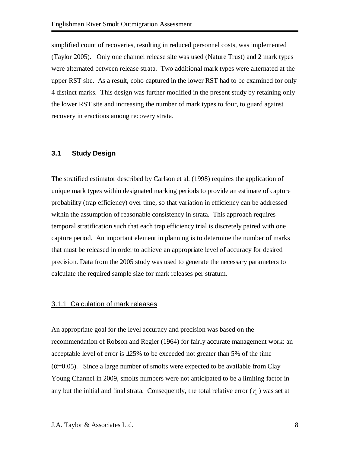simplified count of recoveries, resulting in reduced personnel costs, was implemented (Taylor 2005). Only one channel release site was used (Nature Trust) and 2 mark types were alternated between release strata. Two additional mark types were alternated at the upper RST site. As a result, coho captured in the lower RST had to be examined for only 4 distinct marks. This design was further modified in the present study by retaining only the lower RST site and increasing the number of mark types to four, to guard against recovery interactions among recovery strata.

#### **3.1 Study Design**

The stratified estimator described by Carlson et al. (1998) requires the application of unique mark types within designated marking periods to provide an estimate of capture probability (trap efficiency) over time, so that variation in efficiency can be addressed within the assumption of reasonable consistency in strata. This approach requires temporal stratification such that each trap efficiency trial is discretely paired with one capture period. An important element in planning is to determine the number of marks that must be released in order to achieve an appropriate level of accuracy for desired precision. Data from the 2005 study was used to generate the necessary parameters to calculate the required sample size for mark releases per stratum.

#### 3.1.1 Calculation of mark releases

An appropriate goal for the level accuracy and precision was based on the recommendation of Robson and Regier (1964) for fairly accurate management work: an acceptable level of error is  $\pm 25\%$  to be exceeded not greater than 5% of the time  $(\alpha=0.05)$ . Since a large number of smolts were expected to be available from Clay Young Channel in 2009, smolts numbers were not anticipated to be a limiting factor in any but the initial and final strata. Consequently, the total relative error  $(r_h)$  was set at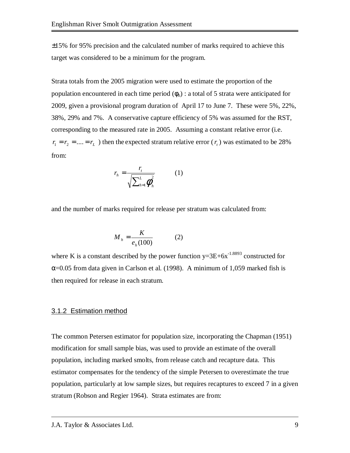±15% for 95% precision and the calculated number of marks required to achieve this target was considered to be a minimum for the program.

Strata totals from the 2005 migration were used to estimate the proportion of the population encountered in each time period  $(\phi_h)$  : a total of 5 strata were anticipated for 2009, given a provisional program duration of April 17 to June 7. These were 5%, 22%, 38%, 29% and 7%. A conservative capture efficiency of 5% was assumed for the RST, corresponding to the measured rate in 2005. Assuming a constant relative error (i.e.  $r_1 = r_2 = \dots = r_L$ ) then the expected stratum relative error ( $r_t$ ) was estimated to be 28% from:

$$
r_h = \frac{r_t}{\sqrt{\sum_{h=1}^L \boldsymbol{\phi}_h^2}} \qquad (1)
$$

and the number of marks required for release per stratum was calculated from:

$$
M_h = \frac{K}{e_h(100)}\tag{2}
$$

where K is a constant described by the power function  $y=3E+6x^{-1.8893}$  constructed for  $\alpha$ =0.05 from data given in Carlson et al. (1998). A minimum of 1,059 marked fish is then required for release in each stratum.

#### 3.1.2 Estimation method

The common Petersen estimator for population size, incorporating the Chapman (1951) modification for small sample bias, was used to provide an estimate of the overall population, including marked smolts, from release catch and recapture data. This estimator compensates for the tendency of the simple Petersen to overestimate the true population, particularly at low sample sizes, but requires recaptures to exceed 7 in a given stratum (Robson and Regier 1964). Strata estimates are from: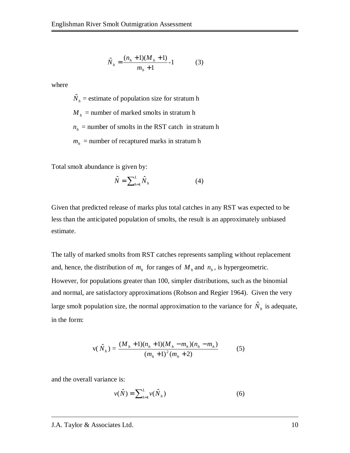$$
\hat{N}_h = \frac{(n_h + 1)(M_h + 1)}{m_h + 1} - 1
$$
 (3)

where

 $\hat{N}_h$  = estimate of population size for stratum h

 $M_h$  = number of marked smolts in stratum h

 $n_h$  = number of smolts in the RST catch in stratum h

 $m_h$  = number of recaptured marks in stratum h

Total smolt abundance is given by:

$$
\hat{N} = \sum_{h=1}^{L} \hat{N}_h
$$
 (4)

Given that predicted release of marks plus total catches in any RST was expected to be less than the anticipated population of smolts, the result is an approximately unbiased estimate.

The tally of marked smolts from RST catches represents sampling without replacement and, hence, the distribution of  $m_h$  for ranges of  $M_h$  and  $n_h$ , is hypergeometric. However, for populations greater than 100, simpler distributions, such as the binomial and normal, are satisfactory approximations (Robson and Regier 1964). Given the very large smolt population size, the normal approximation to the variance for  $\hat{N}_h$  is adequate, in the form:

$$
v(\hat{N}_h) = \frac{(M_h + 1)(n_h + 1)(M_h - m_h)(n_h - m_h)}{(m_h + 1)^2 (m_h + 2)}
$$
(5)

and the overall variance is:

$$
v(\hat{N}) = \sum_{h=1}^{L} v(\hat{N}_h)
$$
\n(6)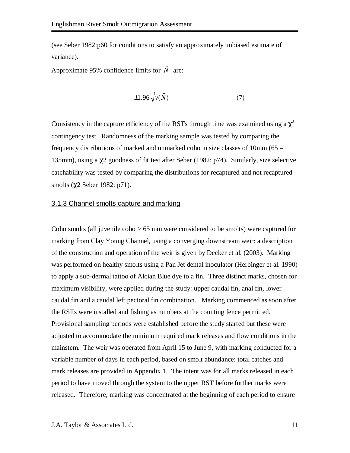(see Seber 1982:p60 for conditions to satisfy an approximately unbiased estimate of variance).

Approximate 95% confidence limits for  $\hat{N}$  are:

$$
\pm 1.96 \sqrt{\nu(\hat{N})} \tag{7}
$$

Consistency in the capture efficiency of the RSTs through time was examined using a  $\chi^2$ contingency test. Randomness of the marking sample was tested by comparing the frequency distributions of marked and unmarked coho in size classes of 10mm (65 – 135mm), using a χ2 goodness of fit test after Seber (1982: p74). Similarly, size selective catchability was tested by comparing the distributions for recaptured and not recaptured smolts (χ2 Seber 1982: p71).

#### 3.1.3 Channel smolts capture and marking

Coho smolts (all juvenile coho > 65 mm were considered to be smolts) were captured for marking from Clay Young Channel, using a converging downstream weir: a description of the construction and operation of the weir is given by Decker et al. (2003). Marking was performed on healthy smolts using a Pan Jet dental inoculator (Herbinger et al. 1990) to apply a sub-dermal tattoo of Alcian Blue dye to a fin. Three distinct marks, chosen for maximum visibility, were applied during the study: upper caudal fin, anal fin, lower caudal fin and a caudal left pectoral fin combination. Marking commenced as soon after the RSTs were installed and fishing as numbers at the counting fence permitted. Provisional sampling periods were established before the study started but these were adjusted to accommodate the minimum required mark releases and flow conditions in the mainstem. The weir was operated from April 15 to June 9, with marking conducted for a variable number of days in each period, based on smolt abundance: total catches and mark releases are provided in Appendix 1. The intent was for all marks released in each period to have moved through the system to the upper RST before further marks were released. Therefore, marking was concentrated at the beginning of each period to ensure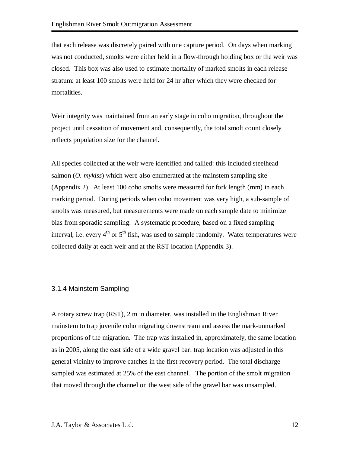that each release was discretely paired with one capture period. On days when marking was not conducted, smolts were either held in a flow-through holding box or the weir was closed. This box was also used to estimate mortality of marked smolts in each release stratum: at least 100 smolts were held for 24 hr after which they were checked for mortalities.

Weir integrity was maintained from an early stage in coho migration, throughout the project until cessation of movement and, consequently, the total smolt count closely reflects population size for the channel.

All species collected at the weir were identified and tallied: this included steelhead salmon (*O. mykiss*) which were also enumerated at the mainstem sampling site (Appendix 2). At least 100 coho smolts were measured for fork length (mm) in each marking period. During periods when coho movement was very high, a sub-sample of smolts was measured, but measurements were made on each sample date to minimize bias from sporadic sampling. A systematic procedure, based on a fixed sampling interval, i.e. every  $4<sup>th</sup>$  or  $5<sup>th</sup>$  fish, was used to sample randomly. Water temperatures were collected daily at each weir and at the RST location (Appendix 3).

### 3.1.4 Mainstem Sampling

A rotary screw trap (RST), 2 m in diameter, was installed in the Englishman River mainstem to trap juvenile coho migrating downstream and assess the mark-unmarked proportions of the migration. The trap was installed in, approximately, the same location as in 2005, along the east side of a wide gravel bar: trap location was adjusted in this general vicinity to improve catches in the first recovery period. The total discharge sampled was estimated at 25% of the east channel. The portion of the smolt migration that moved through the channel on the west side of the gravel bar was unsampled.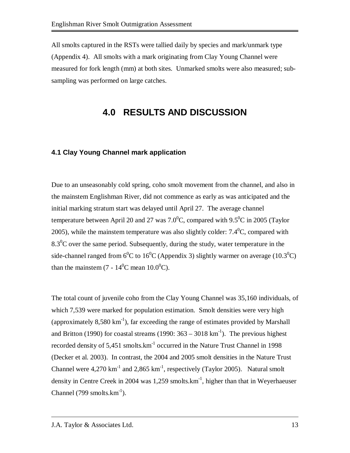All smolts captured in the RSTs were tallied daily by species and mark/unmark type (Appendix 4). All smolts with a mark originating from Clay Young Channel were measured for fork length (mm) at both sites. Unmarked smolts were also measured; subsampling was performed on large catches.

## **4.0 RESULTS AND DISCUSSION**

#### **4.1 Clay Young Channel mark application**

Due to an unseasonably cold spring, coho smolt movement from the channel, and also in the mainstem Englishman River, did not commence as early as was anticipated and the initial marking stratum start was delayed until April 27. The average channel temperature between April 20 and 27 was 7.0<sup>o</sup>C, compared with 9.5<sup>o</sup>C in 2005 (Taylor 2005), while the mainstem temperature was also slightly colder:  $7.4^{\circ}$ C, compared with  $8.3^{\circ}$ C over the same period. Subsequently, during the study, water temperature in the side-channel ranged from 6<sup>0</sup>C to 16<sup>0</sup>C (Appendix 3) slightly warmer on average (10.3<sup>0</sup>C) than the mainstem (7 -  $14^0$ C mean  $10.0^0$ C).

The total count of juvenile coho from the Clay Young Channel was 35,160 individuals, of which 7,539 were marked for population estimation. Smolt densities were very high (approximately  $8,580 \text{ km}^{-1}$ ), far exceeding the range of estimates provided by Marshall and Britton (1990) for coastal streams (1990:  $363 - 3018 \text{ km}^{-1}$ ). The previous highest recorded density of  $5,451$  smolts. $km^{-1}$  occurred in the Nature Trust Channel in 1998 (Decker et al. 2003). In contrast, the 2004 and 2005 smolt densities in the Nature Trust Channel were  $4.270 \text{ km}^{-1}$  and  $2.865 \text{ km}^{-1}$ , respectively (Taylor 2005). Natural smolt density in Centre Creek in 2004 was 1,259 smolts. $km<sup>-1</sup>$ , higher than that in Weyerhaeuser Channel (799 smolts. $km^{-1}$ ).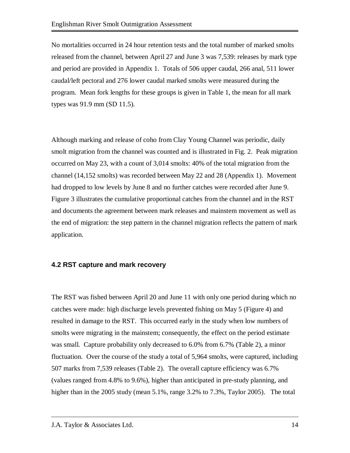No mortalities occurred in 24 hour retention tests and the total number of marked smolts released from the channel, between April 27 and June 3 was 7,539: releases by mark type and period are provided in Appendix 1. Totals of 506 upper caudal, 266 anal, 511 lower caudal/left pectoral and 276 lower caudal marked smolts were measured during the program. Mean fork lengths for these groups is given in Table 1, the mean for all mark types was 91.9 mm (SD 11.5).

Although marking and release of coho from Clay Young Channel was periodic, daily smolt migration from the channel was counted and is illustrated in Fig. 2. Peak migration occurred on May 23, with a count of 3,014 smolts: 40% of the total migration from the channel (14,152 smolts) was recorded between May 22 and 28 (Appendix 1). Movement had dropped to low levels by June 8 and no further catches were recorded after June 9. Figure 3 illustrates the cumulative proportional catches from the channel and in the RST and documents the agreement between mark releases and mainstem movement as well as the end of migration: the step pattern in the channel migration reflects the pattern of mark application.

#### **4.2 RST capture and mark recovery**

The RST was fished between April 20 and June 11 with only one period during which no catches were made: high discharge levels prevented fishing on May 5 (Figure 4) and resulted in damage to the RST. This occurred early in the study when low numbers of smolts were migrating in the mainstem; consequently, the effect on the period estimate was small. Capture probability only decreased to 6.0% from 6.7% (Table 2), a minor fluctuation. Over the course of the study a total of 5,964 smolts, were captured, including 507 marks from 7,539 releases (Table 2). The overall capture efficiency was 6.7% (values ranged from 4.8% to 9.6%), higher than anticipated in pre-study planning, and higher than in the 2005 study (mean 5.1%, range 3.2% to 7.3%, Taylor 2005). The total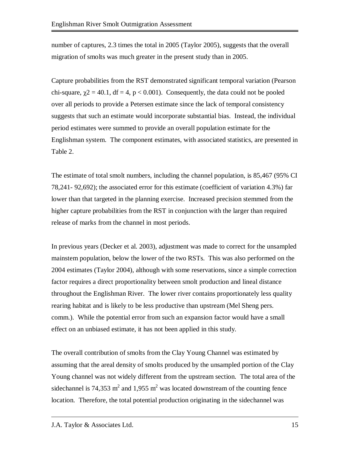number of captures, 2.3 times the total in 2005 (Taylor 2005), suggests that the overall migration of smolts was much greater in the present study than in 2005.

Capture probabilities from the RST demonstrated significant temporal variation (Pearson chi-square,  $\chi$ 2 = 40.1, df = 4, p < 0.001). Consequently, the data could not be pooled over all periods to provide a Petersen estimate since the lack of temporal consistency suggests that such an estimate would incorporate substantial bias. Instead, the individual period estimates were summed to provide an overall population estimate for the Englishman system. The component estimates, with associated statistics, are presented in Table 2.

The estimate of total smolt numbers, including the channel population, is 85,467 (95% CI 78,241- 92,692); the associated error for this estimate (coefficient of variation 4.3%) far lower than that targeted in the planning exercise. Increased precision stemmed from the higher capture probabilities from the RST in conjunction with the larger than required release of marks from the channel in most periods.

In previous years (Decker et al. 2003), adjustment was made to correct for the unsampled mainstem population, below the lower of the two RSTs. This was also performed on the 2004 estimates (Taylor 2004), although with some reservations, since a simple correction factor requires a direct proportionality between smolt production and lineal distance throughout the Englishman River. The lower river contains proportionately less quality rearing habitat and is likely to be less productive than upstream (Mel Sheng pers. comm.). While the potential error from such an expansion factor would have a small effect on an unbiased estimate, it has not been applied in this study.

The overall contribution of smolts from the Clay Young Channel was estimated by assuming that the areal density of smolts produced by the unsampled portion of the Clay Young channel was not widely different from the upstream section. The total area of the sidechannel is 74,353  $m^2$  and 1,955  $m^2$  was located downstream of the counting fence location. Therefore, the total potential production originating in the sidechannel was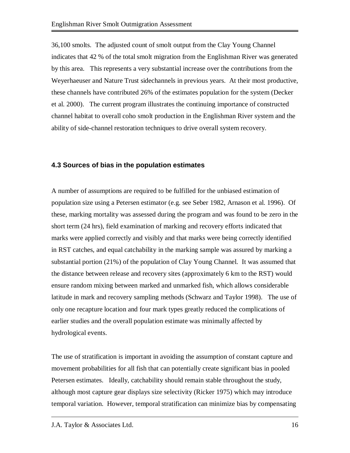36,100 smolts. The adjusted count of smolt output from the Clay Young Channel indicates that 42 % of the total smolt migration from the Englishman River was generated by this area. This represents a very substantial increase over the contributions from the Weyerhaeuser and Nature Trust sidechannels in previous years. At their most productive, these channels have contributed 26% of the estimates population for the system (Decker et al. 2000). The current program illustrates the continuing importance of constructed channel habitat to overall coho smolt production in the Englishman River system and the ability of side-channel restoration techniques to drive overall system recovery.

#### **4.3 Sources of bias in the population estimates**

A number of assumptions are required to be fulfilled for the unbiased estimation of population size using a Petersen estimator (e.g. see Seber 1982, Arnason et al. 1996). Of these, marking mortality was assessed during the program and was found to be zero in the short term (24 hrs), field examination of marking and recovery efforts indicated that marks were applied correctly and visibly and that marks were being correctly identified in RST catches, and equal catchability in the marking sample was assured by marking a substantial portion (21%) of the population of Clay Young Channel. It was assumed that the distance between release and recovery sites (approximately 6 km to the RST) would ensure random mixing between marked and unmarked fish, which allows considerable latitude in mark and recovery sampling methods (Schwarz and Taylor 1998). The use of only one recapture location and four mark types greatly reduced the complications of earlier studies and the overall population estimate was minimally affected by hydrological events.

The use of stratification is important in avoiding the assumption of constant capture and movement probabilities for all fish that can potentially create significant bias in pooled Petersen estimates. Ideally, catchability should remain stable throughout the study, although most capture gear displays size selectivity (Ricker 1975) which may introduce temporal variation. However, temporal stratification can minimize bias by compensating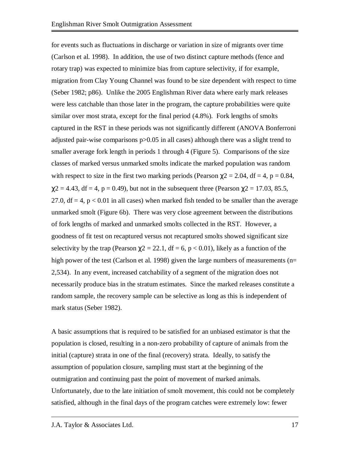for events such as fluctuations in discharge or variation in size of migrants over time (Carlson et al. 1998). In addition, the use of two distinct capture methods (fence and rotary trap) was expected to minimize bias from capture selectivity, if for example, migration from Clay Young Channel was found to be size dependent with respect to time (Seber 1982; p86). Unlike the 2005 Englishman River data where early mark releases were less catchable than those later in the program, the capture probabilities were quite similar over most strata, except for the final period (4.8%). Fork lengths of smolts captured in the RST in these periods was not significantly different (ANOVA Bonferroni adjusted pair-wise comparisons p>0.05 in all cases) although there was a slight trend to smaller average fork length in periods 1 through 4 (Figure 5). Comparisons of the size classes of marked versus unmarked smolts indicate the marked population was random with respect to size in the first two marking periods (Pearson  $\chi$ 2 = 2.04, df = 4, p = 0.84,  $\chi$ 2 = 4.43, df = 4, p = 0.49), but not in the subsequent three (Pearson  $\chi$ 2 = 17.03, 85.5, 27.0,  $df = 4$ ,  $p < 0.01$  in all cases) when marked fish tended to be smaller than the average unmarked smolt (Figure 6b). There was very close agreement between the distributions of fork lengths of marked and unmarked smolts collected in the RST. However, a goodness of fit test on recaptured versus not recaptured smolts showed significant size selectivity by the trap (Pearson  $\chi$ 2 = 22.1, df = 6, p < 0.01), likely as a function of the high power of the test (Carlson et al. 1998) given the large numbers of measurements (n= 2,534). In any event, increased catchability of a segment of the migration does not necessarily produce bias in the stratum estimates. Since the marked releases constitute a random sample, the recovery sample can be selective as long as this is independent of mark status (Seber 1982).

A basic assumptions that is required to be satisfied for an unbiased estimator is that the population is closed, resulting in a non-zero probability of capture of animals from the initial (capture) strata in one of the final (recovery) strata. Ideally, to satisfy the assumption of population closure, sampling must start at the beginning of the outmigration and continuing past the point of movement of marked animals. Unfortunately, due to the late initiation of smolt movement, this could not be completely satisfied, although in the final days of the program catches were extremely low: fewer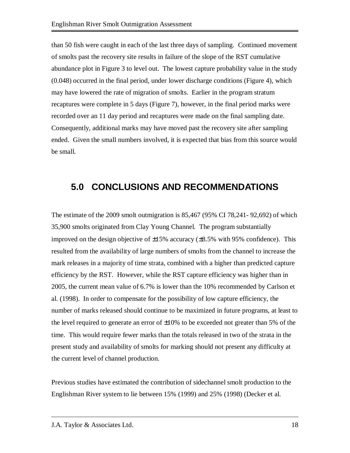than 50 fish were caught in each of the last three days of sampling. Continued movement of smolts past the recovery site results in failure of the slope of the RST cumulative abundance plot in Figure 3 to level out. The lowest capture probability value in the study (0.048) occurred in the final period, under lower discharge conditions (Figure 4), which may have lowered the rate of migration of smolts. Earlier in the program stratum recaptures were complete in 5 days (Figure 7), however, in the final period marks were recorded over an 11 day period and recaptures were made on the final sampling date. Consequently, additional marks may have moved past the recovery site after sampling ended. Given the small numbers involved, it is expected that bias from this source would be small.

## **5.0 CONCLUSIONS AND RECOMMENDATIONS**

The estimate of the 2009 smolt outmigration is 85,467 (95% CI 78,241- 92,692) of which 35,900 smolts originated from Clay Young Channel. The program substantially improved on the design objective of  $\pm 15\%$  accuracy ( $\pm 8.5\%$  with 95% confidence). This resulted from the availability of large numbers of smolts from the channel to increase the mark releases in a majority of time strata, combined with a higher than predicted capture efficiency by the RST. However, while the RST capture efficiency was higher than in 2005, the current mean value of 6.7% is lower than the 10% recommended by Carlson et al. (1998). In order to compensate for the possibility of low capture efficiency, the number of marks released should continue to be maximized in future programs, at least to the level required to generate an error of  $\pm 10\%$  to be exceeded not greater than 5% of the time. This would require fewer marks than the totals released in two of the strata in the present study and availability of smolts for marking should not present any difficulty at the current level of channel production.

Previous studies have estimated the contribution of sidechannel smolt production to the Englishman River system to lie between 15% (1999) and 25% (1998) (Decker et al.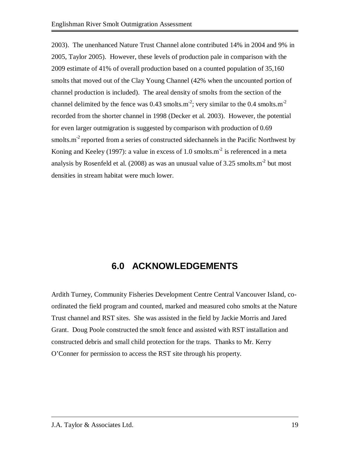2003). The unenhanced Nature Trust Channel alone contributed 14% in 2004 and 9% in 2005, Taylor 2005). However, these levels of production pale in comparison with the 2009 estimate of 41% of overall production based on a counted population of 35,160 smolts that moved out of the Clay Young Channel (42% when the uncounted portion of channel production is included). The areal density of smolts from the section of the channel delimited by the fence was  $0.43$  smolts.m<sup>-2</sup>; very similar to the  $0.4$  smolts.m<sup>-2</sup> recorded from the shorter channel in 1998 (Decker et al. 2003). However, the potential for even larger outmigration is suggested by comparison with production of 0.69 smolts. $m<sup>2</sup>$  reported from a series of constructed sidechannels in the Pacific Northwest by Koning and Keeley (1997): a value in excess of 1.0 smolts.m<sup>2</sup> is referenced in a meta analysis by Rosenfeld et al. (2008) as was an unusual value of  $3.25$  smolts.m<sup>-2</sup> but most densities in stream habitat were much lower.

## **6.0 ACKNOWLEDGEMENTS**

Ardith Turney, Community Fisheries Development Centre Central Vancouver Island, coordinated the field program and counted, marked and measured coho smolts at the Nature Trust channel and RST sites. She was assisted in the field by Jackie Morris and Jared Grant. Doug Poole constructed the smolt fence and assisted with RST installation and constructed debris and small child protection for the traps. Thanks to Mr. Kerry O'Conner for permission to access the RST site through his property.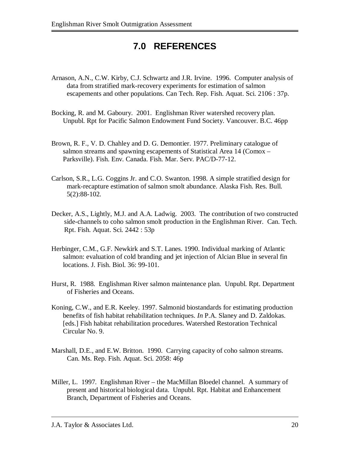## **7.0 REFERENCES**

- Arnason, A.N., C.W. Kirby, C.J. Schwartz and J.R. Irvine. 1996. Computer analysis of data from stratified mark-recovery experiments for estimation of salmon escapements and other populations. Can Tech. Rep. Fish. Aquat. Sci. 2106 : 37p.
- Bocking, R. and M. Gaboury. 2001. Englishman River watershed recovery plan. Unpubl. Rpt for Pacific Salmon Endowment Fund Society. Vancouver. B.C. 46pp
- Brown, R. F., V. D. Chahley and D. G. Demontier. 1977. Preliminary catalogue of salmon streams and spawning escapements of Statistical Area 14 (Comox – Parksville). Fish. Env. Canada. Fish. Mar. Serv. PAC/D-77-12.
- Carlson, S.R., L.G. Coggins Jr. and C.O. Swanton. 1998. A simple stratified design for mark-recapture estimation of salmon smolt abundance. Alaska Fish. Res. Bull. 5(2):88-102.
- Decker, A.S., Lightly, M.J. and A.A. Ladwig. 2003. The contribution of two constructed side-channels to coho salmon smolt production in the Englishman River. Can. Tech. Rpt. Fish. Aquat. Sci. 2442 : 53p
- Herbinger, C.M., G.F. Newkirk and S.T. Lanes. 1990. Individual marking of Atlantic salmon: evaluation of cold branding and jet injection of Alcian Blue in several fin locations. J. Fish. Biol. 36: 99-101.
- Hurst, R. 1988. Englishman River salmon maintenance plan. Unpubl. Rpt. Department of Fisheries and Oceans.
- Koning, C.W., and E.R. Keeley. 1997. Salmonid biostandards for estimating production benefits of fish habitat rehabilitation techniques. *In* P.A. Slaney and D. Zaldokas. [eds.] Fish habitat rehabilitation procedures. Watershed Restoration Technical Circular No. 9.
- Marshall, D.E., and E.W. Britton. 1990. Carrying capacity of coho salmon streams. Can. Ms. Rep. Fish. Aquat. Sci. 2058: 46p
- Miller, L. 1997. Englishman River the MacMillan Bloedel channel. A summary of present and historical biological data. Unpubl. Rpt. Habitat and Enhancement Branch, Department of Fisheries and Oceans.

J.A. Taylor & Associates Ltd. 20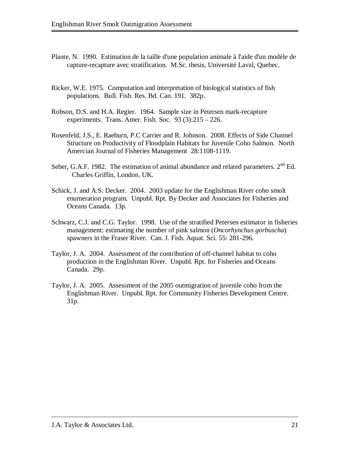- Plante, N. 1990. Estimation de la taille d'une population animale à l'aide d'un modèle de capture-recapture avec stratification. M.Sc. thesis, Université Laval, Quebec.
- Ricker, W.E. 1975. Computation and interpretation of biological statistics of fish populations. Bull. Fish. Res. Bd. Can. 191. 382p.
- Robson, D.S. and H.A. Regier. 1964. Sample size in Petersen mark-recapture experiments. Trans. Amer. Fish. Soc. 93 (3):215 – 226.
- Rosenfeld, J.S., E. Raeburn, P.C Carrier and R. Johnson. 2008. Effects of Side Channel Structure on Productivity of Floodplain Habitats for Juvenile Coho Salmon. North Amercian Journal of Fisheries Management 28:1108-1119.
- Seber, G.A.F. 1982. The estimation of animal abundance and related parameters.  $2<sup>nd</sup> Ed$ . Charles Griffin, London. UK.
- Schick, J. and A.S. Decker. 2004. 2003 update for the Englishman River coho smolt enumeration program. Unpubl. Rpt. By Decker and Associates for Fisheries and Oceans Canada. 13p.
- Schwarz, C.J. and C.G. Taylor. 1998. Use of the stratified Petersen estimator in fisheries management: estimating the number of pink salmon (*Oncorhynchus gorbuscha*) spawners in the Fraser River. Can. J. Fish. Aquat. Sci. 55: 281-296.
- Taylor, J. A. 2004. Assessment of the contribution of off-channel habitat to coho production in the Englishman River. Unpubl. Rpt. for Fisheries and Oceans Canada. 29p.
- Taylor, J. A. 2005. Assessment of the 2005 outmigration of juvenile coho from the Englishman River. Unpubl. Rpt. for Community Fisheries Development Centre. 31p.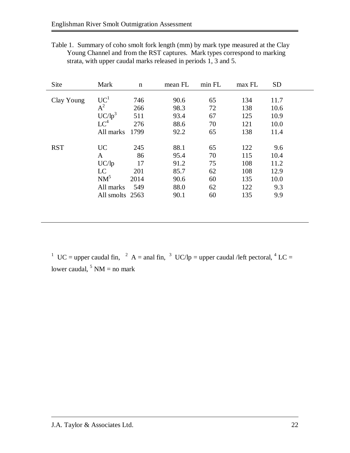Table 1. Summary of coho smolt fork length (mm) by mark type measured at the Clay Young Channel and from the RST captures. Mark types correspond to marking strata, with upper caudal marks released in periods 1, 3 and 5.

| Site       | Mark                                                                    | $\mathbf n$                           | mean FL                                              | min FL                                 | max FL                                        | <b>SD</b>                                         |
|------------|-------------------------------------------------------------------------|---------------------------------------|------------------------------------------------------|----------------------------------------|-----------------------------------------------|---------------------------------------------------|
| Clay Young | UC <sup>1</sup><br>$A^2$<br>$UC/lp^3$<br>$LC^4$<br>All marks            | 746<br>266<br>511<br>276<br>1799      | 90.6<br>98.3<br>93.4<br>88.6<br>92.2                 | 65<br>72<br>67<br>70<br>65             | 134<br>138<br>125<br>121<br>138               | 11.7<br>10.6<br>10.9<br>10.0<br>11.4              |
| <b>RST</b> | <b>UC</b><br>A<br>UC/lp<br>LC<br>$NM^5$<br>All marks<br>All smolts 2563 | 245<br>86<br>17<br>201<br>2014<br>549 | 88.1<br>95.4<br>91.2<br>85.7<br>90.6<br>88.0<br>90.1 | 65<br>70<br>75<br>62<br>60<br>62<br>60 | 122<br>115<br>108<br>108<br>135<br>122<br>135 | 9.6<br>10.4<br>11.2<br>12.9<br>10.0<br>9.3<br>9.9 |

<sup>1</sup> UC = upper caudal fin, <sup>2</sup> A = anal fin, <sup>3</sup> UC/lp = upper caudal /left pectoral, <sup>4</sup> LC = lower caudal,  $5 \text{ NM} = \text{no mark}$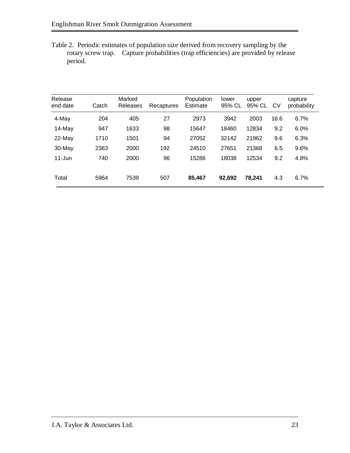Table 2. Periodic estimates of population size derived from recovery sampling by the rotary screw trap. Capture probabilities (trap efficiencies) are provided by release period.

| Catch | Marked<br>Releases | Recaptures | Population<br>Estimate | lower<br>95% CL | upper<br>95% CL | CV   | capture<br>probability |
|-------|--------------------|------------|------------------------|-----------------|-----------------|------|------------------------|
| 204   | 405                | 27         | 2973                   | 3942            | 2003            | 16.6 | 6.7%                   |
| 947   | 1633               | 98         | 15647                  | 18460           | 12834           | 9.2  | 6.0%                   |
| 1710  | 1501               | 94         | 27052                  | 32142           | 21962           | 9.6  | 6.3%                   |
| 2363  | 2000               | 192        | 24510                  | 27651           | 21368           | 6.5  | 9.6%                   |
| 740   | 2000               | 96         | 15286                  | 18038           | 12534           | 9.2  | 4.8%                   |
|       |                    |            |                        |                 |                 |      |                        |
| 5964  | 7539               | 507        | 85,467                 | 92,692          | 78,241          | 4.3  | 6.7%                   |
|       |                    |            |                        |                 |                 |      |                        |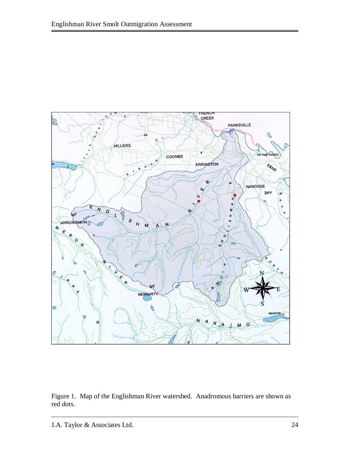

Figure 1. Map of the Englishman River watershed. Anadromous barriers are shown as red dots.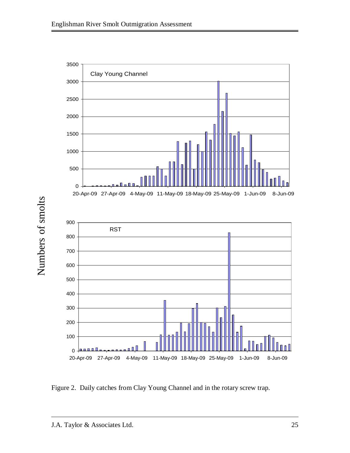

Figure 2. Daily catches from Clay Young Channel and in the rotary screw trap.

Numbers of smolts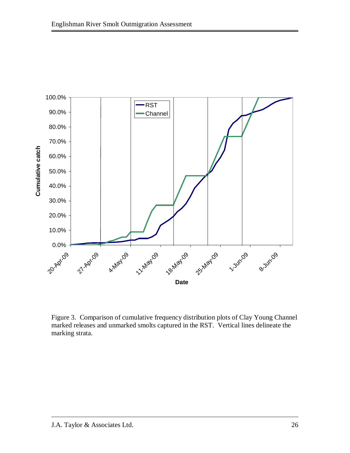

Figure 3. Comparison of cumulative frequency distribution plots of Clay Young Channel marked releases and unmarked smolts captured in the RST. Vertical lines delineate the marking strata.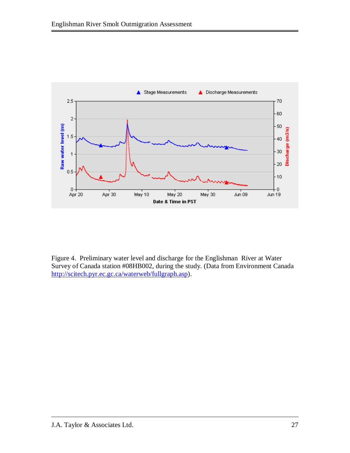

Figure 4. Preliminary water level and discharge for the Englishman River at Water Survey of Canada station #08HB002, during the study. (Data from Environment Canada http://scitech.pyr.ec.gc.ca/waterweb/fullgraph.asp).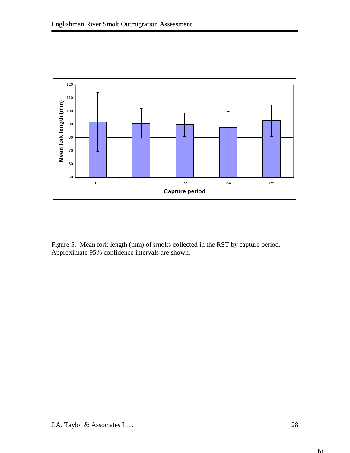

Figure 5. Mean fork length (mm) of smolts collected in the RST by capture period. Approximate 95% confidence intervals are shown.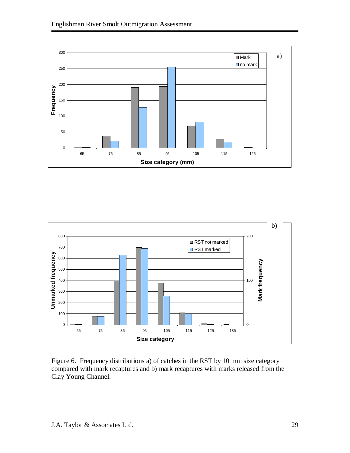



Figure 6. Frequency distributions a) of catches in the RST by 10 mm size category compared with mark recaptures and b) mark recaptures with marks released from the Clay Young Channel.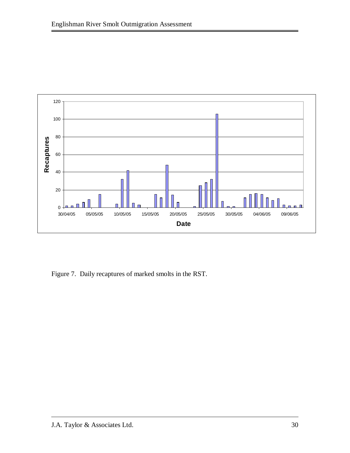

Figure 7. Daily recaptures of marked smolts in the RST.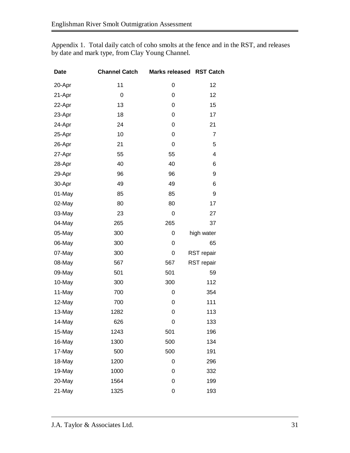| <b>Date</b> | <b>Channel Catch</b> | <b>Marks released</b> | <b>RST Catch</b> |
|-------------|----------------------|-----------------------|------------------|
| 20-Apr      | 11                   | 0                     | 12               |
| 21-Apr      | 0                    | 0                     | 12               |
| 22-Apr      | 13                   | 0                     | 15               |
| 23-Apr      | 18                   | 0                     | 17               |
| 24-Apr      | 24                   | 0                     | 21               |
| 25-Apr      | 10                   | 0                     | 7                |
| 26-Apr      | 21                   | 0                     | 5                |
| 27-Apr      | 55                   | 55                    | 4                |
| 28-Apr      | 40                   | 40                    | 6                |
| 29-Apr      | 96                   | 96                    | 9                |
| 30-Apr      | 49                   | 49                    | 6                |
| 01-May      | 85                   | 85                    | 9                |
| 02-May      | 80                   | 80                    | 17               |
| 03-May      | 23                   | $\mathbf 0$           | 27               |
| 04-May      | 265                  | 265                   | 37               |
| 05-May      | 300                  | 0                     | high water       |
| 06-May      | 300                  | 0                     | 65               |
| 07-May      | 300                  | 0                     | RST repair       |
| 08-May      | 567                  | 567                   | RST repair       |
| 09-May      | 501                  | 501                   | 59               |
| 10-May      | 300                  | 300                   | 112              |
| 11-May      | 700                  | 0                     | 354              |
| 12-May      | 700                  | 0                     | 111              |
| 13-May      | 1282                 | 0                     | 113              |
| 14-May      | 626                  | 0                     | 133              |
| 15-May      | 1243                 | 501                   | 196              |
| 16-May      | 1300                 | 500                   | 134              |
| 17-May      | 500                  | 500                   | 191              |
| 18-May      | 1200                 | 0                     | 296              |
| 19-May      | 1000                 | 0                     | 332              |
| 20-May      | 1564                 | $\mathbf 0$           | 199              |
| 21-May      | 1325                 | 0                     | 193              |

Appendix 1. Total daily catch of coho smolts at the fence and in the RST, and releases by date and mark type, from Clay Young Channel.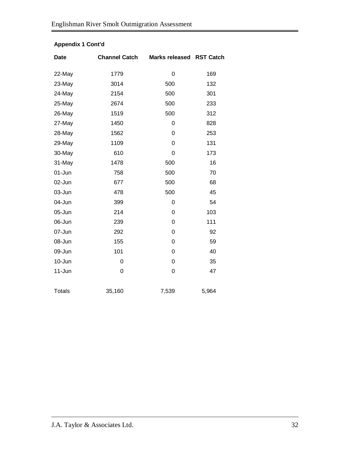| <b>Date</b>   | <b>Channel Catch</b> | <b>Marks released</b> | <b>RST Catch</b> |
|---------------|----------------------|-----------------------|------------------|
| 22-May        | 1779                 | $\mathbf 0$           | 169              |
| 23-May        | 3014                 | 500                   | 132              |
| 24-May        | 2154                 | 500                   | 301              |
| 25-May        | 2674                 | 500                   | 233              |
| 26-May        | 1519                 | 500                   | 312              |
| 27-May        | 1450                 | 0                     | 828              |
| 28-May        | 1562                 | 0                     | 253              |
| 29-May        | 1109                 | 0                     | 131              |
| 30-May        | 610                  | 0                     | 173              |
| 31-May        | 1478                 | 500                   | 16               |
| 01-Jun        | 758                  | 500                   | 70               |
| 02-Jun        | 677                  | 500                   | 68               |
| 03-Jun        | 478                  | 500                   | 45               |
| 04-Jun        | 399                  | 0                     | 54               |
| 05-Jun        | 214                  | 0                     | 103              |
| 06-Jun        | 239                  | 0                     | 111              |
| 07-Jun        | 292                  | 0                     | 92               |
| 08-Jun        | 155                  | $\mathbf 0$           | 59               |
| 09-Jun        | 101                  | 0                     | 40               |
| 10-Jun        | 0                    | 0                     | 35               |
| 11-Jun        | 0                    | 0                     | 47               |
|               |                      |                       |                  |
| <b>Totals</b> | 35,160               | 7,539                 | 5,964            |

#### **Appendix 1 Cont'd**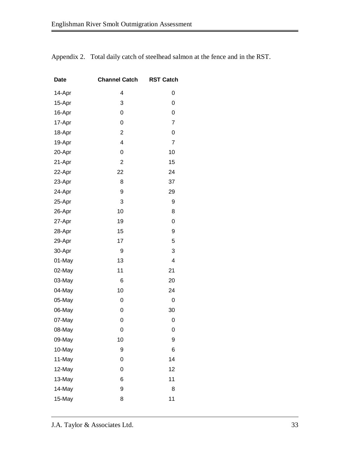| <b>Date</b> | <b>Channel Catch</b> | <b>RST Catch</b> |
|-------------|----------------------|------------------|
| 14-Apr      | 4                    | 0                |
| 15-Apr      | 3                    | 0                |
| 16-Apr      | 0                    | 0                |
| 17-Apr      | 0                    | 7                |
| 18-Apr      | $\overline{2}$       | 0                |
| 19-Apr      | 4                    | 7                |
| 20-Apr      | 0                    | 10               |
| 21-Apr      | $\overline{2}$       | 15               |
| 22-Apr      | 22                   | 24               |
| 23-Apr      | 8                    | 37               |
| 24-Apr      | 9                    | 29               |
| 25-Apr      | 3                    | 9                |
| 26-Apr      | 10                   | 8                |
| 27-Apr      | 19                   | 0                |
| 28-Apr      | 15                   | 9                |
| 29-Apr      | 17                   | 5                |
| 30-Apr      | 9                    | 3                |
| 01-May      | 13                   | 4                |
| 02-May      | 11                   | 21               |
| 03-May      | 6                    | 20               |
| 04-May      | 10                   | 24               |
| 05-May      | 0                    | 0                |
| 06-May      | 0                    | 30               |
| 07-May      | 0                    | 0                |
| 08-May      | 0                    | 0                |
| 09-May      | 10                   | 9                |
| 10-May      | 9                    | 6                |
| 11-May      | 0                    | 14               |
| 12-May      | 0                    | 12               |
| 13-May      | 6                    | 11               |
| 14-May      | 9                    | 8                |
| 15-May      | 8                    | 11               |

Appendix 2. Total daily catch of steelhead salmon at the fence and in the RST.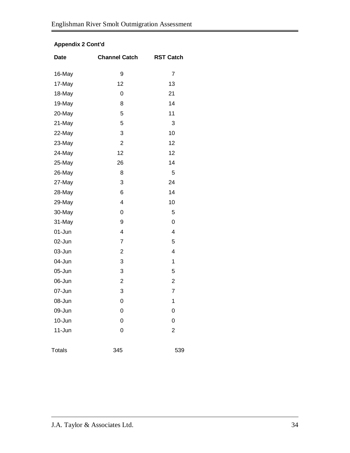### **Appendix 2 Cont'd**

| <b>Date</b>   | <b>Channel Catch</b> | <b>RST Catch</b>        |
|---------------|----------------------|-------------------------|
| 16-May        | 9                    | $\overline{7}$          |
| 17-May        | 12                   | 13                      |
| 18-May        | 0                    | 21                      |
| 19-May        | 8                    | 14                      |
| 20-May        | 5                    | 11                      |
| 21-May        | 5                    | 3                       |
| 22-May        | 3                    | 10                      |
| 23-May        | $\overline{2}$       | 12                      |
| 24-May        | 12                   | 12                      |
| 25-May        | 26                   | 14                      |
| 26-May        | 8                    | 5                       |
| 27-May        | 3                    | 24                      |
| 28-May        | 6                    | 14                      |
| 29-May        | 4                    | 10                      |
| 30-May        | 0                    | 5                       |
| 31-May        | 9                    | 0                       |
| 01-Jun        | 4                    | $\overline{\mathbf{4}}$ |
| 02-Jun        | 7                    | 5                       |
| 03-Jun        | 2                    | $\overline{\mathbf{4}}$ |
| 04-Jun        | 3                    | 1                       |
| 05-Jun        | 3                    | 5                       |
| 06-Jun        | $\overline{c}$       | $\overline{\mathbf{c}}$ |
| 07-Jun        | 3                    | $\overline{7}$          |
| 08-Jun        | 0                    | 1                       |
| 09-Jun        | 0                    | 0                       |
| 10-Jun        | 0                    | 0                       |
| 11-Jun        | 0                    | $\overline{2}$          |
| <b>Totals</b> | 345                  | 539                     |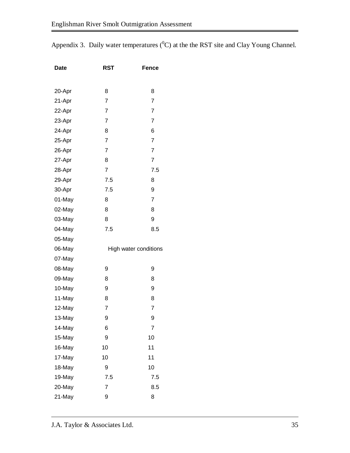Appendix 3. Daily water temperatures  $(^{0}C)$  at the the RST site and Clay Young Channel.

| <b>Date</b> | <b>RST</b>     | <b>Fence</b>          |
|-------------|----------------|-----------------------|
|             |                |                       |
| 20-Apr      | 8              | 8                     |
| 21-Apr      | $\overline{7}$ | $\overline{7}$        |
| 22-Apr      | 7              | 7                     |
| 23-Apr      | $\overline{7}$ | 7                     |
| 24-Apr      | 8              | 6                     |
| 25-Apr      | $\overline{7}$ | 7                     |
| 26-Apr      | $\overline{7}$ | $\overline{7}$        |
| 27-Apr      | 8              | 7                     |
| 28-Apr      | $\overline{7}$ | 7.5                   |
| 29-Apr      | 7.5            | 8                     |
| 30-Apr      | 7.5            | 9                     |
| 01-May      | 8              | 7                     |
| 02-May      | 8              | 8                     |
| 03-May      | 8              | 9                     |
| 04-May      | 7.5            | 8.5                   |
| 05-May      |                |                       |
| 06-May      |                | High water conditions |
| 07-May      |                |                       |
| 08-May      | 9              | 9                     |
| 09-May      | 8              | 8                     |
| 10-May      | 9              | 9                     |
| 11-May      | 8              | 8                     |
| 12-May      | 7              | 7                     |
| 13-May      | 9              | 9                     |
| 14-May      | 6              | 7                     |
| 15-May      | 9              | 10                    |
| 16-May      | 10             | 11                    |
| 17-May      | 10             | 11                    |
| 18-May      | 9              | 10                    |
| 19-May      | 7.5            | 7.5                   |
| 20-May      | 7              | 8.5                   |
| 21-May      | 9              | 8                     |
|             |                |                       |

J.A. Taylor & Associates Ltd. 35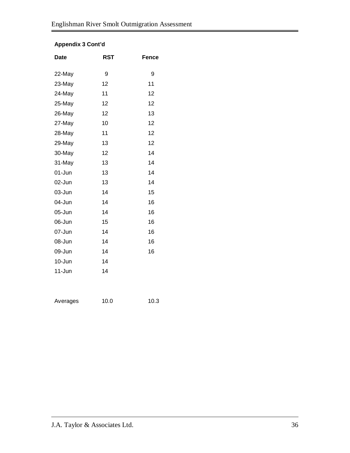#### **Appendix 3 Cont'd**

| <b>Date</b> | <b>RST</b> | Fence |
|-------------|------------|-------|
| 22-May      | 9          | 9     |
| 23-May      | 12         | 11    |
| 24-May      | 11         | 12    |
| 25-May      | 12         | 12    |
| 26-May      | 12         | 13    |
| 27-May      | 10         | 12    |
| 28-May      | 11         | 12    |
| 29-May      | 13         | 12    |
| 30-May      | 12         | 14    |
| 31-May      | 13         | 14    |
| 01-Jun      | 13         | 14    |
| 02-Jun      | 13         | 14    |
| 03-Jun      | 14         | 15    |
| 04-Jun      | 14         | 16    |
| 05-Jun      | 14         | 16    |
| 06-Jun      | 15         | 16    |
| 07-Jun      | 14         | 16    |
| 08-Jun      | 14         | 16    |
| 09-Jun      | 14         | 16    |
| 10-Jun      | 14         |       |
| $11 - Jun$  | 14         |       |
|             |            |       |

Averages 10.0 10.3